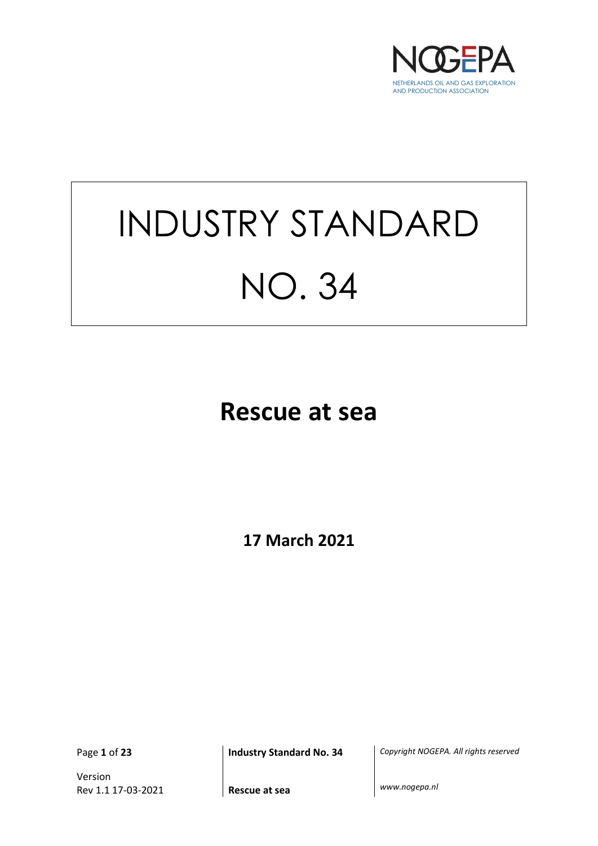

# INDUSTRY STANDARD NO. 34

## **Rescue at sea**

**17 March 2021**

Version Rev 1.1 17-03-2021 **Rescue at sea** *www.nogepa.nl*

Page **1** of **23 Industry Standard No. 34** *Copyright NOGEPA. All rights reserved*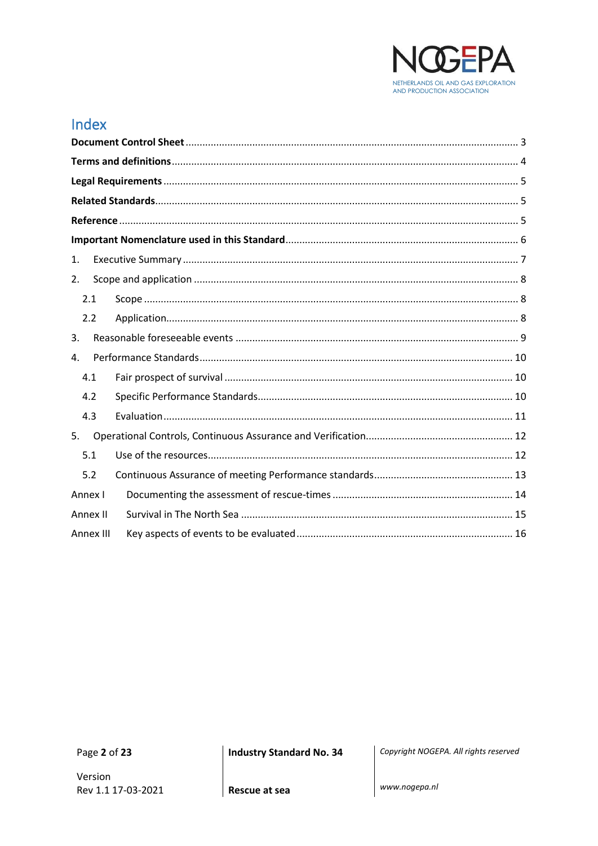

## Index

| 1.        |  |  |  |  |
|-----------|--|--|--|--|
| 2.        |  |  |  |  |
| 2.1       |  |  |  |  |
| 2.2       |  |  |  |  |
| 3.        |  |  |  |  |
| 4.        |  |  |  |  |
| 4.1       |  |  |  |  |
| 4.2       |  |  |  |  |
| 4.3       |  |  |  |  |
| 5.        |  |  |  |  |
| 5.1       |  |  |  |  |
| 5.2       |  |  |  |  |
| Annex I   |  |  |  |  |
| Annex II  |  |  |  |  |
| Annex III |  |  |  |  |

Page 2 of 23

**Industry Standard No. 34** 

Copyright NOGEPA. All rights reserved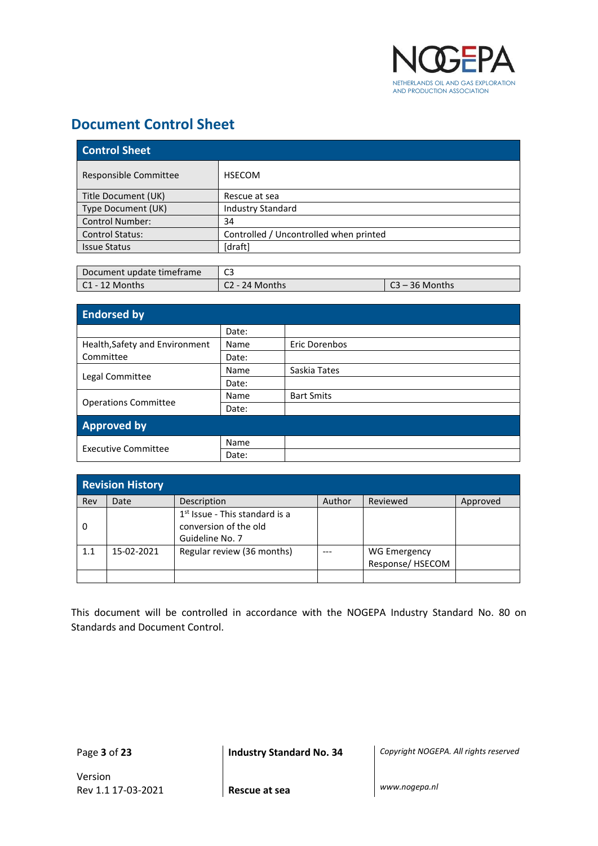

## <span id="page-2-0"></span>**Document Control Sheet**

| <b>Control Sheet</b>   |                                        |  |
|------------------------|----------------------------------------|--|
| Responsible Committee  | <b>HSECOM</b>                          |  |
| Title Document (UK)    | Rescue at sea                          |  |
| Type Document (UK)     | <b>Industry Standard</b>               |  |
| <b>Control Number:</b> | 34                                     |  |
| <b>Control Status:</b> | Controlled / Uncontrolled when printed |  |
| <b>Issue Status</b>    | [draft]                                |  |

| Document update timeframe | $\sim$<br>د با |                |
|---------------------------|----------------|----------------|
| $\mathsf{C1}$ - 12 Months | C2 - 24 Months | 23 – 36 Months |

| <b>Endorsed by</b>             |       |                   |
|--------------------------------|-------|-------------------|
|                                | Date: |                   |
| Health, Safety and Environment | Name  | Eric Dorenbos     |
| Committee                      | Date: |                   |
|                                | Name  | Saskia Tates      |
| Legal Committee                | Date: |                   |
|                                | Name  | <b>Bart Smits</b> |
| <b>Operations Committee</b>    | Date: |                   |
| <b>Approved by</b>             |       |                   |
|                                | Name  |                   |
| <b>Executive Committee</b>     | Date: |                   |

|     | <b>Revision History</b> |                                                                                        |        |                                        |          |
|-----|-------------------------|----------------------------------------------------------------------------------------|--------|----------------------------------------|----------|
| Rev | Date                    | Description                                                                            | Author | Reviewed                               | Approved |
| 0   |                         | 1 <sup>st</sup> Issue - This standard is a<br>conversion of the old<br>Guideline No. 7 |        |                                        |          |
| 1.1 | 15-02-2021              | Regular review (36 months)                                                             |        | <b>WG Emergency</b><br>Response/HSECOM |          |
|     |                         |                                                                                        |        |                                        |          |

This document will be controlled in accordance with the NOGEPA Industry Standard No. 80 on Standards and Document Control.

Page **3** of **23 Industry Standard No. 34** *Copyright NOGEPA. All rights reserved*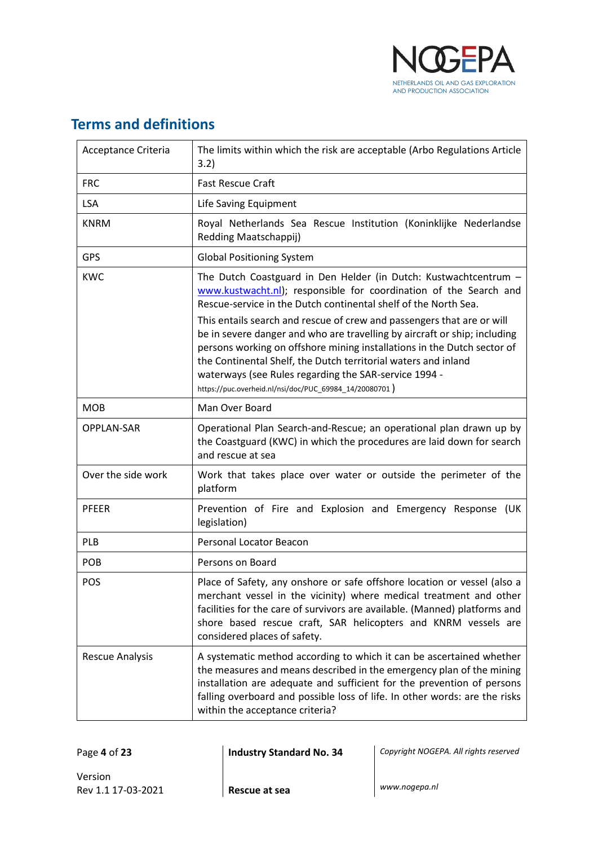

## <span id="page-3-0"></span>**Terms and definitions**

| Acceptance Criteria    | The limits within which the risk are acceptable (Arbo Regulations Article<br>3.2)                                                                                                                                                                                                                                                                                                                                   |  |
|------------------------|---------------------------------------------------------------------------------------------------------------------------------------------------------------------------------------------------------------------------------------------------------------------------------------------------------------------------------------------------------------------------------------------------------------------|--|
| <b>FRC</b>             | <b>Fast Rescue Craft</b>                                                                                                                                                                                                                                                                                                                                                                                            |  |
| <b>LSA</b>             | Life Saving Equipment                                                                                                                                                                                                                                                                                                                                                                                               |  |
| <b>KNRM</b>            | Royal Netherlands Sea Rescue Institution (Koninklijke Nederlandse<br>Redding Maatschappij)                                                                                                                                                                                                                                                                                                                          |  |
| <b>GPS</b>             | <b>Global Positioning System</b>                                                                                                                                                                                                                                                                                                                                                                                    |  |
| <b>KWC</b>             | The Dutch Coastguard in Den Helder (in Dutch: Kustwachtcentrum -<br>www.kustwacht.nl); responsible for coordination of the Search and<br>Rescue-service in the Dutch continental shelf of the North Sea.                                                                                                                                                                                                            |  |
|                        | This entails search and rescue of crew and passengers that are or will<br>be in severe danger and who are travelling by aircraft or ship; including<br>persons working on offshore mining installations in the Dutch sector of<br>the Continental Shelf, the Dutch territorial waters and inland<br>waterways (see Rules regarding the SAR-service 1994 -<br>https://puc.overheid.nl/nsi/doc/PUC_69984_14/20080701) |  |
| <b>MOB</b>             | Man Over Board                                                                                                                                                                                                                                                                                                                                                                                                      |  |
| <b>OPPLAN-SAR</b>      | Operational Plan Search-and-Rescue; an operational plan drawn up by<br>the Coastguard (KWC) in which the procedures are laid down for search<br>and rescue at sea                                                                                                                                                                                                                                                   |  |
| Over the side work     | Work that takes place over water or outside the perimeter of the<br>platform                                                                                                                                                                                                                                                                                                                                        |  |
| <b>PFEER</b>           | Prevention of Fire and Explosion and Emergency Response<br>(UK<br>legislation)                                                                                                                                                                                                                                                                                                                                      |  |
| PLB                    | Personal Locator Beacon                                                                                                                                                                                                                                                                                                                                                                                             |  |
| POB                    | Persons on Board                                                                                                                                                                                                                                                                                                                                                                                                    |  |
| <b>POS</b>             | Place of Safety, any onshore or safe offshore location or vessel (also a<br>merchant vessel in the vicinity) where medical treatment and other<br>facilities for the care of survivors are available. (Manned) platforms and<br>shore based rescue craft, SAR helicopters and KNRM vessels are<br>considered places of safety.                                                                                      |  |
| <b>Rescue Analysis</b> | A systematic method according to which it can be ascertained whether<br>the measures and means described in the emergency plan of the mining<br>installation are adequate and sufficient for the prevention of persons<br>falling overboard and possible loss of life. In other words: are the risks<br>within the acceptance criteria?                                                                             |  |

Page **4** of **23 Industry Standard No. 34** *Copyright NOGEPA. All rights reserved*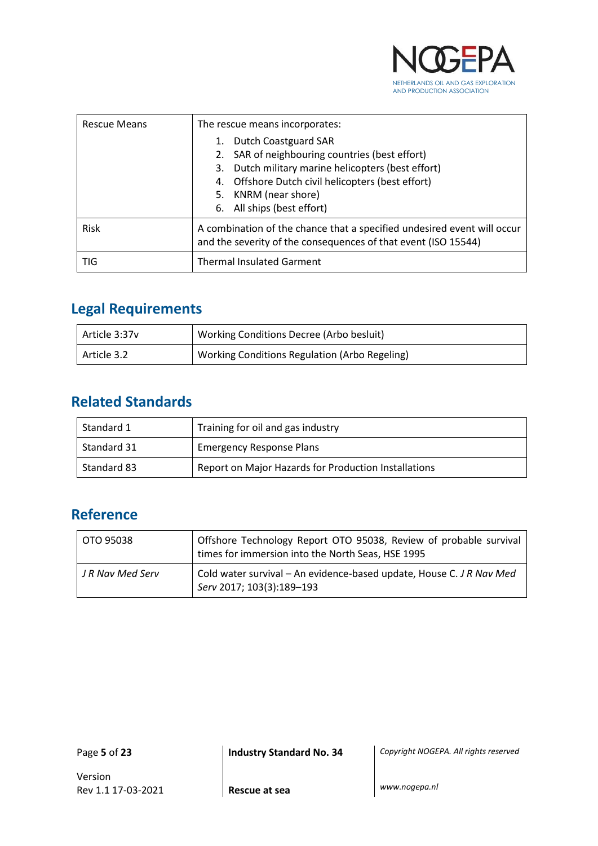

| <b>Rescue Means</b> | The rescue means incorporates:<br><b>Dutch Coastguard SAR</b><br>2. SAR of neighbouring countries (best effort)<br>3. Dutch military marine helicopters (best effort)<br>4. Offshore Dutch civil helicopters (best effort)<br>5. KNRM (near shore)<br>6. All ships (best effort) |
|---------------------|----------------------------------------------------------------------------------------------------------------------------------------------------------------------------------------------------------------------------------------------------------------------------------|
| Risk                | A combination of the chance that a specified undesired event will occur<br>and the severity of the consequences of that event (ISO 15544)                                                                                                                                        |
| TIG                 | <b>Thermal Insulated Garment</b>                                                                                                                                                                                                                                                 |

## <span id="page-4-0"></span>**Legal Requirements**

| Article 3:37y | Working Conditions Decree (Arbo besluit)      |
|---------------|-----------------------------------------------|
| Article 3.2   | Working Conditions Regulation (Arbo Regeling) |

## <span id="page-4-1"></span>**Related Standards**

| Standard 1  | Training for oil and gas industry                    |
|-------------|------------------------------------------------------|
| Standard 31 | <b>Emergency Response Plans</b>                      |
| Standard 83 | Report on Major Hazards for Production Installations |

## <span id="page-4-2"></span>**Reference**

| OTO 95038        | Offshore Technology Report OTO 95038, Review of probable survival<br>times for immersion into the North Seas, HSE 1995 |
|------------------|------------------------------------------------------------------------------------------------------------------------|
| J R Nav Med Serv | Cold water survival – An evidence-based update, House C. J R Nav Med<br>Serv 2017; 103(3):189-193                      |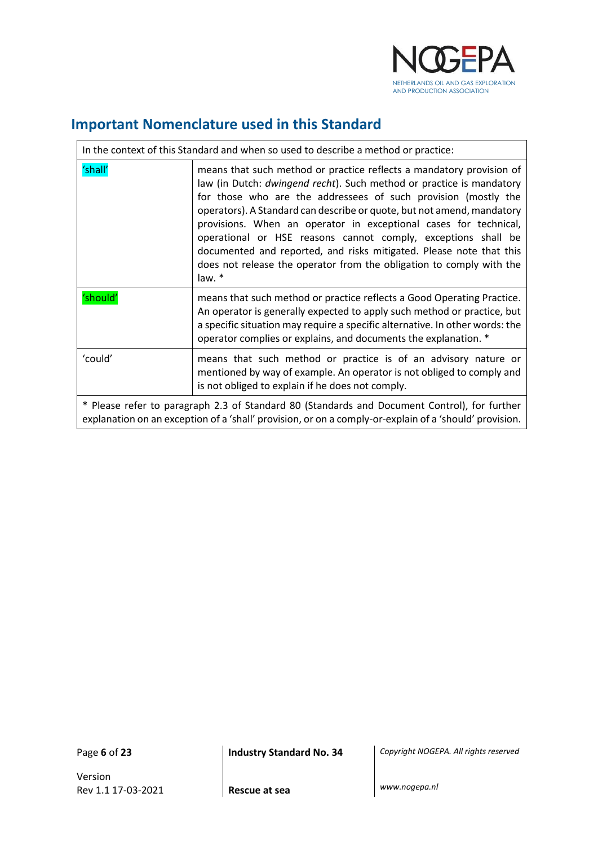

٦

## <span id="page-5-0"></span>**Important Nomenclature used in this Standard**

| In the context of this Standard and when so used to describe a method or practice:                                                                                                                     |                                                                                                                                                                                                                                                                                                                                                                                                                                                                                                                                                                                                |  |
|--------------------------------------------------------------------------------------------------------------------------------------------------------------------------------------------------------|------------------------------------------------------------------------------------------------------------------------------------------------------------------------------------------------------------------------------------------------------------------------------------------------------------------------------------------------------------------------------------------------------------------------------------------------------------------------------------------------------------------------------------------------------------------------------------------------|--|
| 'shall'                                                                                                                                                                                                | means that such method or practice reflects a mandatory provision of<br>law (in Dutch: <i>dwingend recht</i> ). Such method or practice is mandatory<br>for those who are the addressees of such provision (mostly the<br>operators). A Standard can describe or quote, but not amend, mandatory<br>provisions. When an operator in exceptional cases for technical,<br>operational or HSE reasons cannot comply, exceptions shall be<br>documented and reported, and risks mitigated. Please note that this<br>does not release the operator from the obligation to comply with the<br>law. * |  |
| 'should'                                                                                                                                                                                               | means that such method or practice reflects a Good Operating Practice.<br>An operator is generally expected to apply such method or practice, but<br>a specific situation may require a specific alternative. In other words: the<br>operator complies or explains, and documents the explanation. *                                                                                                                                                                                                                                                                                           |  |
| 'could'                                                                                                                                                                                                | means that such method or practice is of an advisory nature or<br>mentioned by way of example. An operator is not obliged to comply and<br>is not obliged to explain if he does not comply.                                                                                                                                                                                                                                                                                                                                                                                                    |  |
| * Please refer to paragraph 2.3 of Standard 80 (Standards and Document Control), for further<br>explanation on an exception of a 'shall' provision, or on a comply-or-explain of a 'should' provision. |                                                                                                                                                                                                                                                                                                                                                                                                                                                                                                                                                                                                |  |

Page **6** of **23 Industry Standard No. 34** *Copyright NOGEPA. All rights reserved*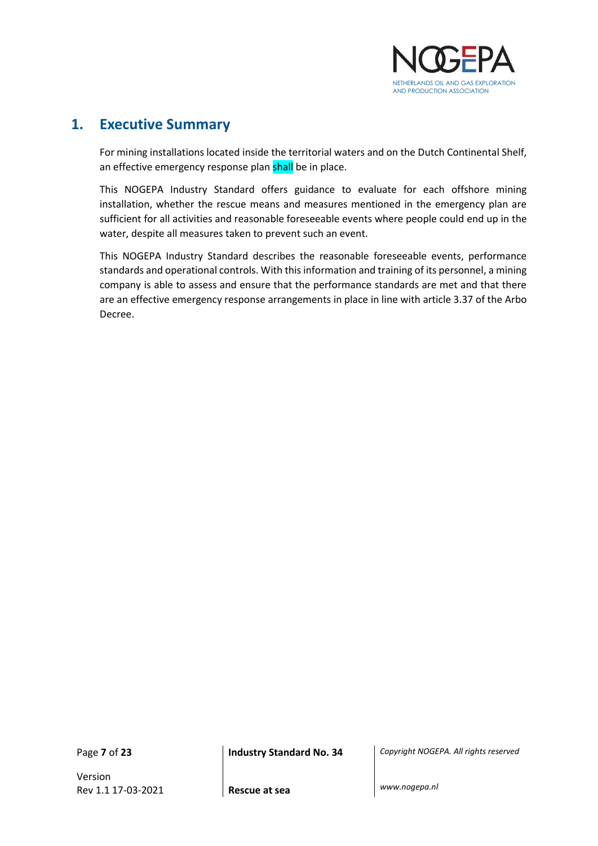

## <span id="page-6-0"></span>**1. Executive Summary**

For mining installations located inside the territorial waters and on the Dutch Continental Shelf, an effective emergency response plan shall be in place.

This NOGEPA Industry Standard offers guidance to evaluate for each offshore mining installation, whether the rescue means and measures mentioned in the emergency plan are sufficient for all activities and reasonable foreseeable events where people could end up in the water, despite all measures taken to prevent such an event.

This NOGEPA Industry Standard describes the reasonable foreseeable events, performance standards and operational controls. With this information and training of its personnel, a mining company is able to assess and ensure that the performance standards are met and that there are an effective emergency response arrangements in place in line with article 3.37 of the Arbo Decree.

Version Rev 1.1 17-03-2021 **Rescue at sea** *www.nogepa.nl*

Page **7** of **23 Industry Standard No. 34** *Copyright NOGEPA. All rights reserved*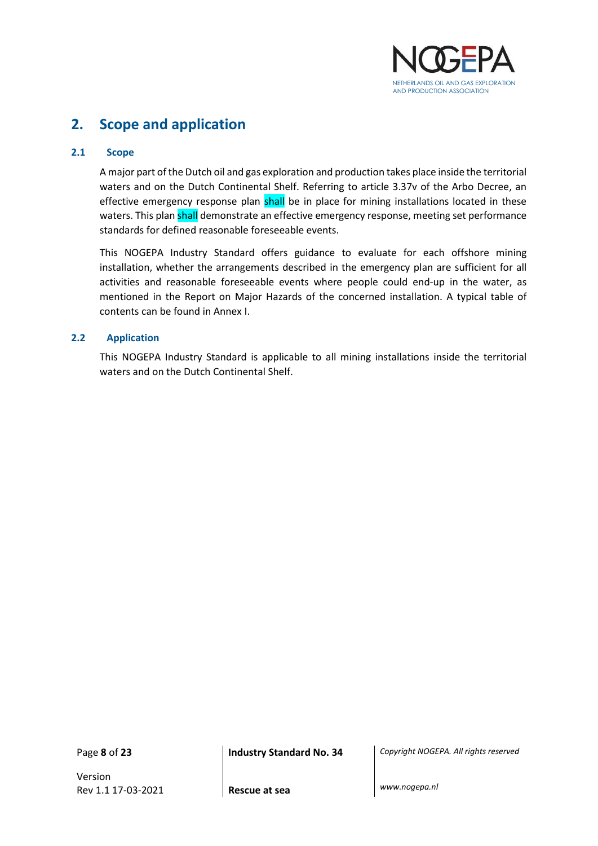

## <span id="page-7-0"></span>**2. Scope and application**

#### <span id="page-7-1"></span>**2.1 Scope**

A major part of the Dutch oil and gas exploration and production takes place inside the territorial waters and on the Dutch Continental Shelf. Referring to article 3.37v of the Arbo Decree, an effective emergency response plan shall be in place for mining installations located in these waters. This plan shall demonstrate an effective emergency response, meeting set performance standards for defined reasonable foreseeable events.

This NOGEPA Industry Standard offers guidance to evaluate for each offshore mining installation, whether the arrangements described in the emergency plan are sufficient for all activities and reasonable foreseeable events where people could end-up in the water, as mentioned in the Report on Major Hazards of the concerned installation. A typical table of contents can be found in Annex I.

#### <span id="page-7-2"></span>**2.2 Application**

This NOGEPA Industry Standard is applicable to all mining installations inside the territorial waters and on the Dutch Continental Shelf.

Version Rev 1.1 17-03-2021 **Rescue at sea** *www.nogepa.nl*

Page **8** of **23 Industry Standard No. 34** *Copyright NOGEPA. All rights reserved*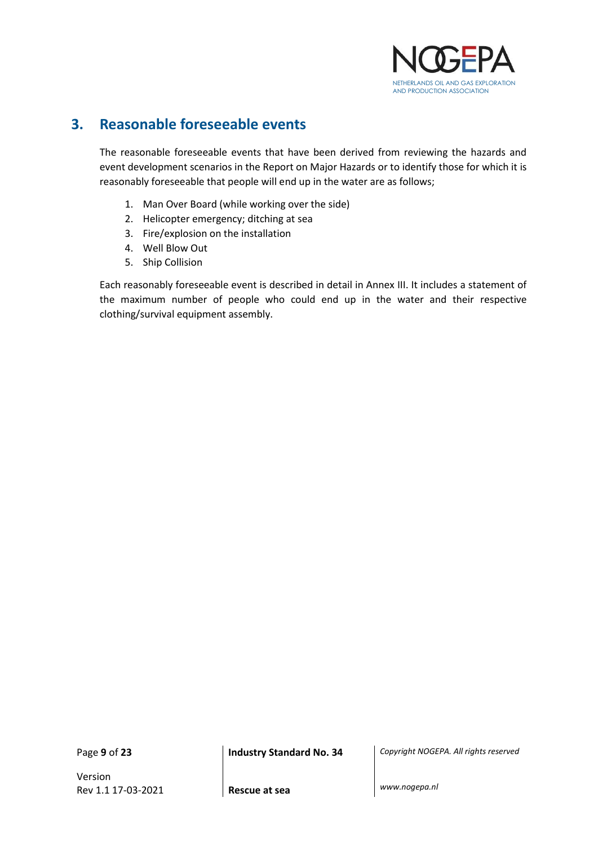

## <span id="page-8-0"></span>**3. Reasonable foreseeable events**

The reasonable foreseeable events that have been derived from reviewing the hazards and event development scenarios in the Report on Major Hazards or to identify those for which it is reasonably foreseeable that people will end up in the water are as follows;

- 1. Man Over Board (while working over the side)
- 2. Helicopter emergency; ditching at sea
- 3. Fire/explosion on the installation
- 4. Well Blow Out
- 5. Ship Collision

Each reasonably foreseeable event is described in detail in Annex III. It includes a statement of the maximum number of people who could end up in the water and their respective clothing/survival equipment assembly.

Version Rev 1.1 17-03-2021 **Rescue at sea** *www.nogepa.nl*

Page **9** of **23 Industry Standard No. 34** *Copyright NOGEPA. All rights reserved*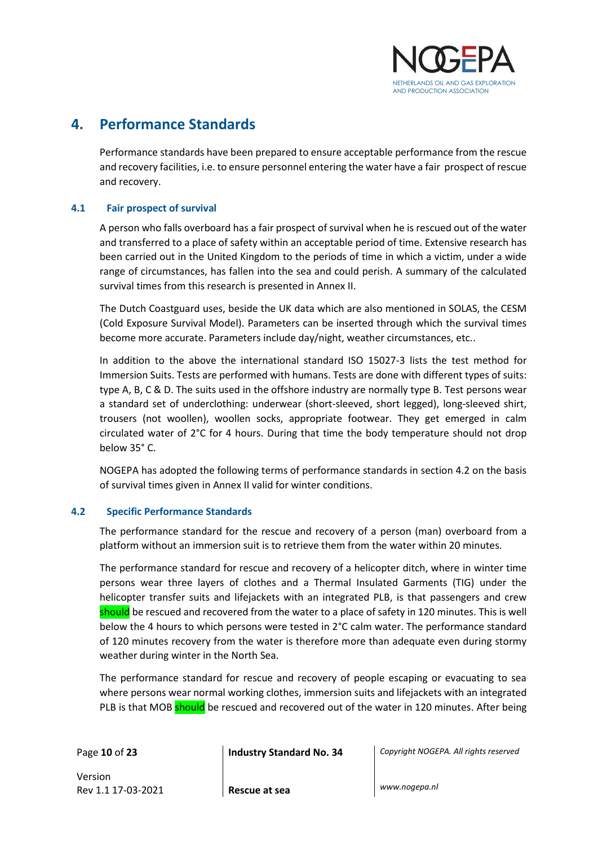

## <span id="page-9-0"></span>**4. Performance Standards**

Performance standards have been prepared to ensure acceptable performance from the rescue and recovery facilities, i.e. to ensure personnel entering the water have a fair prospect of rescue and recovery.

#### <span id="page-9-1"></span>**4.1 Fair prospect of survival**

A person who falls overboard has a fair prospect of survival when he is rescued out of the water and transferred to a place of safety within an acceptable period of time. Extensive research has been carried out in the United Kingdom to the periods of time in which a victim, under a wide range of circumstances, has fallen into the sea and could perish. A summary of the calculated survival times from this research is presented in Annex II.

The Dutch Coastguard uses, beside the UK data which are also mentioned in SOLAS, the CESM (Cold Exposure Survival Model). Parameters can be inserted through which the survival times become more accurate. Parameters include day/night, weather circumstances, etc..

In addition to the above the international standard ISO 15027-3 lists the test method for Immersion Suits. Tests are performed with humans. Tests are done with different types of suits: type A, B, C & D. The suits used in the offshore industry are normally type B. Test persons wear a standard set of underclothing: underwear (short-sleeved, short legged), long-sleeved shirt, trousers (not woollen), woollen socks, appropriate footwear. They get emerged in calm circulated water of 2°C for 4 hours. During that time the body temperature should not drop below 35° C.

NOGEPA has adopted the following terms of performance standards in section 4.2 on the basis of survival times given in Annex II valid for winter conditions.

#### <span id="page-9-2"></span>**4.2 Specific Performance Standards**

The performance standard for the rescue and recovery of a person (man) overboard from a platform without an immersion suit is to retrieve them from the water within 20 minutes.

The performance standard for rescue and recovery of a helicopter ditch, where in winter time persons wear three layers of clothes and a Thermal Insulated Garments (TIG) under the helicopter transfer suits and lifejackets with an integrated PLB, is that passengers and crew should be rescued and recovered from the water to a place of safety in 120 minutes. This is well below the 4 hours to which persons were tested in 2°C calm water. The performance standard of 120 minutes recovery from the water is therefore more than adequate even during stormy weather during winter in the North Sea.

The performance standard for rescue and recovery of people escaping or evacuating to sea where persons wear normal working clothes, immersion suits and lifejackets with an integrated PLB is that MOB should be rescued and recovered out of the water in 120 minutes. After being

Page **10** of **23 Industry Standard No. 34** *Copyright NOGEPA. All rights reserved*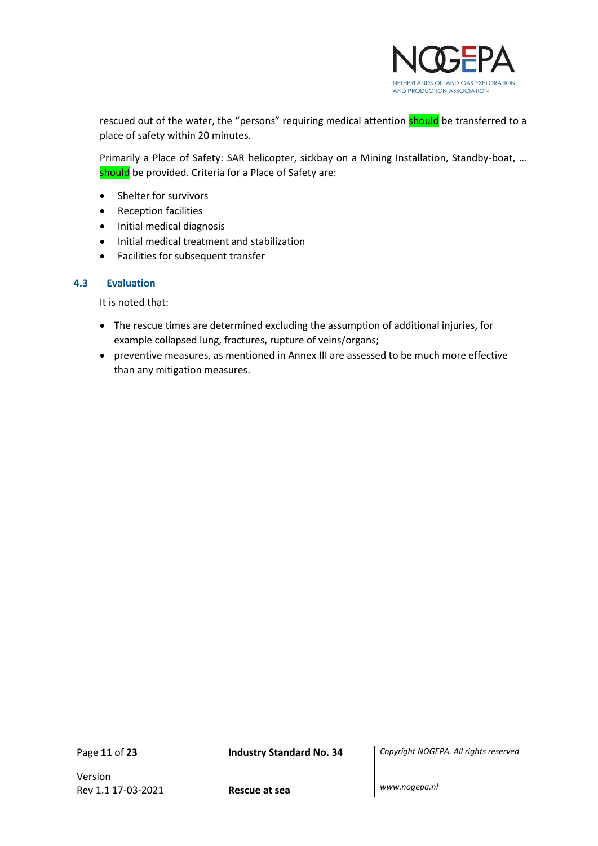

rescued out of the water, the "persons" requiring medical attention should be transferred to a place of safety within 20 minutes.

Primarily a Place of Safety: SAR helicopter, sickbay on a Mining Installation, Standby-boat, … should be provided. Criteria for a Place of Safety are:

- Shelter for survivors
- Reception facilities
- Initial medical diagnosis
- Initial medical treatment and stabilization
- Facilities for subsequent transfer

#### <span id="page-10-0"></span>**4.3 Evaluation**

It is noted that:

- **T**he rescue times are determined excluding the assumption of additional injuries, for example collapsed lung, fractures, rupture of veins/organs;
- preventive measures, as mentioned in Annex III are assessed to be much more effective than any mitigation measures.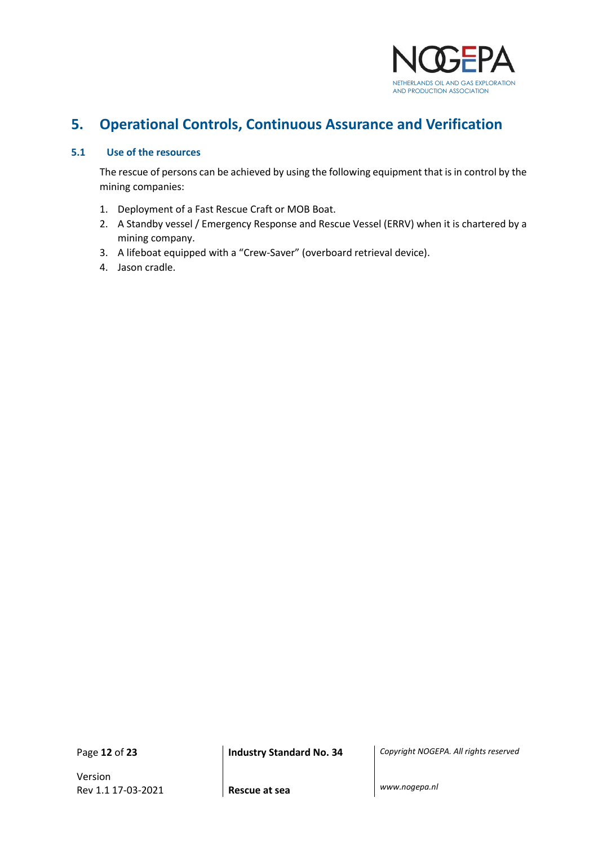

## <span id="page-11-0"></span>**5. Operational Controls, Continuous Assurance and Verification**

#### <span id="page-11-1"></span>**5.1 Use of the resources**

The rescue of persons can be achieved by using the following equipment that is in control by the mining companies:

- 1. Deployment of a Fast Rescue Craft or MOB Boat.
- 2. A Standby vessel / Emergency Response and Rescue Vessel (ERRV) when it is chartered by a mining company.
- 3. A lifeboat equipped with a "Crew-Saver" (overboard retrieval device).
- 4. Jason cradle.

Version Rev 1.1 17-03-2021 **Rescue at sea** *www.nogepa.nl*

Page **12** of **23 Industry Standard No. 34** *Copyright NOGEPA. All rights reserved*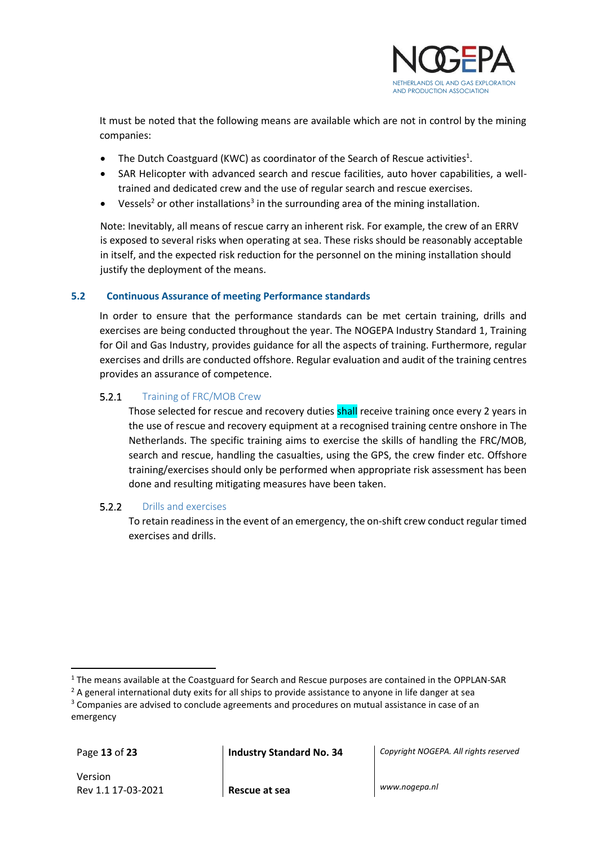

It must be noted that the following means are available which are not in control by the mining companies:

- The Dutch Coastguard (KWC) as coordinator of the Search of Rescue activities<sup>1</sup>.
- SAR Helicopter with advanced search and rescue facilities, auto hover capabilities, a welltrained and dedicated crew and the use of regular search and rescue exercises.
- Vessels<sup>2</sup> or other installations<sup>3</sup> in the surrounding area of the mining installation.

Note: Inevitably, all means of rescue carry an inherent risk. For example, the crew of an ERRV is exposed to several risks when operating at sea. These risks should be reasonably acceptable in itself, and the expected risk reduction for the personnel on the mining installation should justify the deployment of the means.

#### <span id="page-12-0"></span>**5.2 Continuous Assurance of meeting Performance standards**

In order to ensure that the performance standards can be met certain training, drills and exercises are being conducted throughout the year. The NOGEPA Industry Standard 1, Training for Oil and Gas Industry, provides guidance for all the aspects of training. Furthermore, regular exercises and drills are conducted offshore. Regular evaluation and audit of the training centres provides an assurance of competence.

#### 5.2.1 Training of FRC/MOB Crew

Those selected for rescue and recovery duties shall receive training once every 2 years in the use of rescue and recovery equipment at a recognised training centre onshore in The Netherlands. The specific training aims to exercise the skills of handling the FRC/MOB, search and rescue, handling the casualties, using the GPS, the crew finder etc. Offshore training/exercises should only be performed when appropriate risk assessment has been done and resulting mitigating measures have been taken.

#### 5.2.2 Drills and exercises

To retain readiness in the event of an emergency, the on-shift crew conduct regular timed exercises and drills.

Page **13** of **23 Industry Standard No. 34** *Copyright NOGEPA. All rights reserved*

 $1$  The means available at the Coastguard for Search and Rescue purposes are contained in the OPPLAN-SAR

 $<sup>2</sup>$  A general international duty exits for all ships to provide assistance to anyone in life danger at sea</sup> <sup>3</sup> Companies are advised to conclude agreements and procedures on mutual assistance in case of an

emergency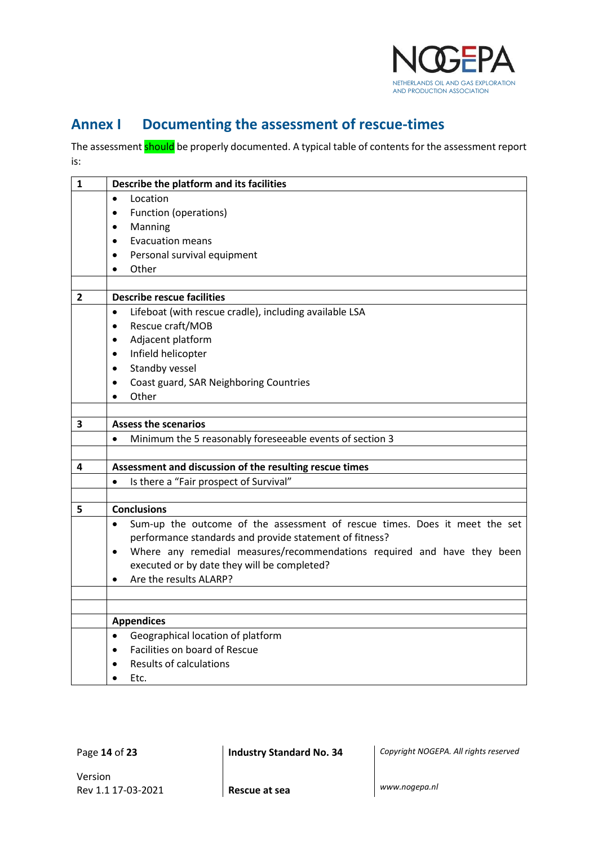

## <span id="page-13-0"></span>**Annex I Documenting the assessment of rescue-times**

The assessment **should** be properly documented. A typical table of contents for the assessment report is:

| $\mathbf{1}$ | Describe the platform and its facilities                                                |
|--------------|-----------------------------------------------------------------------------------------|
|              | Location<br>$\bullet$                                                                   |
|              | Function (operations)<br>$\bullet$                                                      |
|              | Manning<br>$\bullet$                                                                    |
|              | <b>Evacuation means</b><br>$\bullet$                                                    |
|              | Personal survival equipment<br>$\bullet$                                                |
|              | Other<br>$\bullet$                                                                      |
|              |                                                                                         |
| 2            | <b>Describe rescue facilities</b>                                                       |
|              | Lifeboat (with rescue cradle), including available LSA<br>$\bullet$                     |
|              | Rescue craft/MOB<br>$\bullet$                                                           |
|              | Adjacent platform                                                                       |
|              | Infield helicopter<br>$\bullet$                                                         |
|              | Standby vessel<br>$\bullet$                                                             |
|              | Coast guard, SAR Neighboring Countries<br>$\bullet$                                     |
|              | Other                                                                                   |
|              |                                                                                         |
| 3            | <b>Assess the scenarios</b>                                                             |
|              | Minimum the 5 reasonably foreseeable events of section 3<br>$\bullet$                   |
|              |                                                                                         |
| 4            | Assessment and discussion of the resulting rescue times                                 |
|              | Is there a "Fair prospect of Survival"<br>$\bullet$                                     |
|              |                                                                                         |
| 5            | <b>Conclusions</b>                                                                      |
|              | Sum-up the outcome of the assessment of rescue times. Does it meet the set<br>$\bullet$ |
|              | performance standards and provide statement of fitness?                                 |
|              | Where any remedial measures/recommendations required and have they been<br>$\bullet$    |
|              | executed or by date they will be completed?<br>Are the results ALARP?                   |
|              | $\bullet$                                                                               |
|              |                                                                                         |
|              | <b>Appendices</b>                                                                       |
|              | Geographical location of platform<br>$\bullet$                                          |
|              | Facilities on board of Rescue<br>$\bullet$                                              |
|              | <b>Results of calculations</b>                                                          |
|              | Etc.                                                                                    |
|              |                                                                                         |

Page **14** of **23 Industry Standard No. 34** *Copyright NOGEPA. All rights reserved*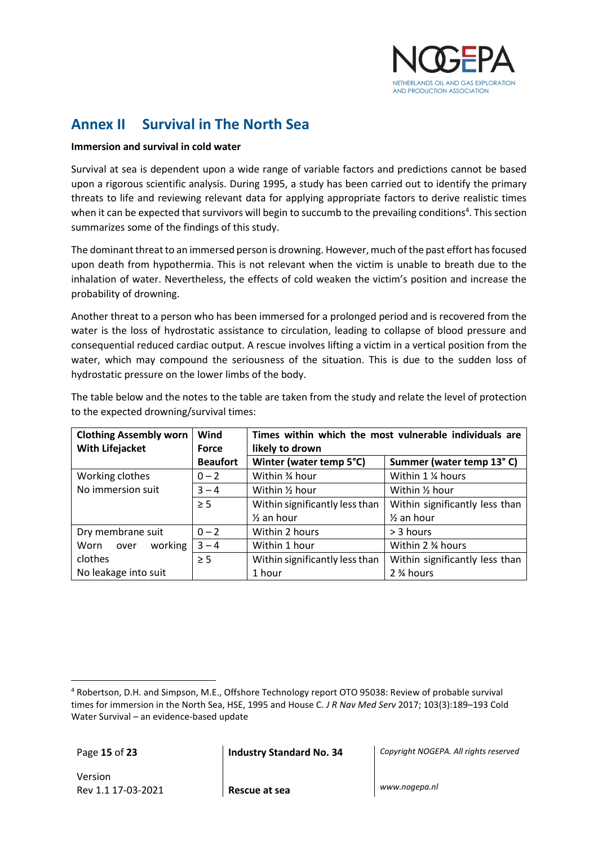

## <span id="page-14-0"></span>**Annex II Survival in The North Sea**

#### **Immersion and survival in cold water**

Survival at sea is dependent upon a wide range of variable factors and predictions cannot be based upon a rigorous scientific analysis. During 1995, a study has been carried out to identify the primary threats to life and reviewing relevant data for applying appropriate factors to derive realistic times when it can be expected that survivors will begin to succumb to the prevailing conditions<sup>4</sup>. This section summarizes some of the findings of this study.

The dominant threat to an immersed person is drowning. However, much of the past effort has focused upon death from hypothermia. This is not relevant when the victim is unable to breath due to the inhalation of water. Nevertheless, the effects of cold weaken the victim's position and increase the probability of drowning.

Another threat to a person who has been immersed for a prolonged period and is recovered from the water is the loss of hydrostatic assistance to circulation, leading to collapse of blood pressure and consequential reduced cardiac output. A rescue involves lifting a victim in a vertical position from the water, which may compound the seriousness of the situation. This is due to the sudden loss of hydrostatic pressure on the lower limbs of the body.

| <b>Clothing Assembly worn</b><br><b>With Lifejacket</b> | Wind<br><b>Force</b> | Times within which the most vulnerable individuals are<br>likely to drown |                                |  |
|---------------------------------------------------------|----------------------|---------------------------------------------------------------------------|--------------------------------|--|
|                                                         | <b>Beaufort</b>      | Winter (water temp 5°C)                                                   | Summer (water temp 13°C)       |  |
| Working clothes                                         | $0 - 2$              | Within 34 hour                                                            | Within 1 % hours               |  |
| No immersion suit                                       | $3 - 4$              | Within 1/2 hour                                                           | Within 1/2 hour                |  |
|                                                         | $\geq$ 5             | Within significantly less than                                            | Within significantly less than |  |
|                                                         |                      | $\frac{1}{2}$ an hour                                                     | $\frac{1}{2}$ an hour          |  |
| Dry membrane suit                                       | $0 - 2$              | Within 2 hours                                                            | > 3 hours                      |  |
| working<br>Worn<br>over                                 | $3 - 4$              | Within 1 hour                                                             | Within 2 3⁄4 hours             |  |
| clothes                                                 | $\geq 5$             | Within significantly less than                                            | Within significantly less than |  |
| No leakage into suit                                    |                      | 1 hour                                                                    | 2 % hours                      |  |

The table below and the notes to the table are taken from the study and relate the level of protection to the expected drowning/survival times:

Page **15** of **23 Industry Standard No. 34** *Copyright NOGEPA. All rights reserved*

<sup>4</sup> Robertson, D.H. and Simpson, M.E., Offshore Technology report OTO 95038: Review of probable survival times for immersion in the North Sea, HSE, 1995 and House C. *J R Nav Med Serv* 2017; 103(3):189–193 Cold Water Survival – an evidence-based update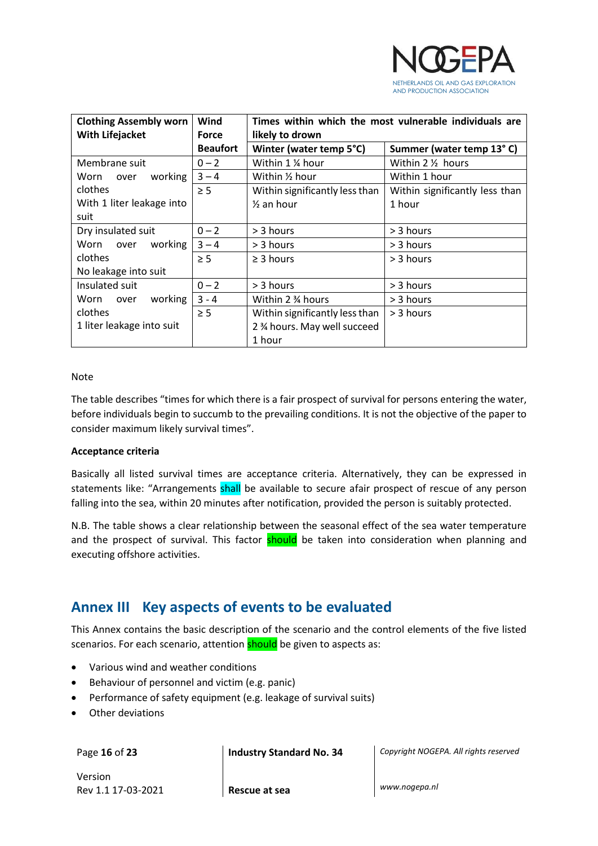

| <b>Clothing Assembly worn</b> | Wind            | Times within which the most vulnerable individuals are |                                |  |
|-------------------------------|-----------------|--------------------------------------------------------|--------------------------------|--|
| <b>With Lifejacket</b>        | <b>Force</b>    | likely to drown                                        |                                |  |
|                               | <b>Beaufort</b> | Winter (water temp 5°C)                                | Summer (water temp 13°C)       |  |
| Membrane suit                 | $0 - 2$         | Within 1 % hour                                        | Within $2 \frac{1}{2}$ hours   |  |
| working<br>Worn<br>over       | $3 - 4$         | Within 1/2 hour                                        | Within 1 hour                  |  |
| clothes                       | $\geq 5$        | Within significantly less than                         | Within significantly less than |  |
| With 1 liter leakage into     |                 | $\frac{1}{2}$ an hour                                  | 1 hour                         |  |
| suit                          |                 |                                                        |                                |  |
| Dry insulated suit            | $0 - 2$         | > 3 hours                                              | > 3 hours                      |  |
| working<br>Worn over          | $3 - 4$         | $>$ 3 hours                                            | $>$ 3 hours                    |  |
| clothes                       | $\geq$ 5        | $\geq$ 3 hours                                         | $>$ 3 hours                    |  |
| No leakage into suit          |                 |                                                        |                                |  |
| Insulated suit                | $0 - 2$         | > 3 hours                                              | > 3 hours                      |  |
| working<br>Worn over          | $3 - 4$         | Within 2 3⁄4 hours                                     | > 3 hours                      |  |
| clothes                       | $\geq$ 5        | Within significantly less than                         | $>$ 3 hours                    |  |
| 1 liter leakage into suit     |                 | 2 % hours. May well succeed                            |                                |  |
|                               |                 | 1 hour                                                 |                                |  |

#### Note

The table describes "times for which there is a fair prospect of survival for persons entering the water, before individuals begin to succumb to the prevailing conditions. It is not the objective of the paper to consider maximum likely survival times".

#### **Acceptance criteria**

Basically all listed survival times are acceptance criteria. Alternatively, they can be expressed in statements like: "Arrangements shall be available to secure afair prospect of rescue of any person falling into the sea, within 20 minutes after notification, provided the person is suitably protected.

N.B. The table shows a clear relationship between the seasonal effect of the sea water temperature and the prospect of survival. This factor should be taken into consideration when planning and executing offshore activities.

## <span id="page-15-0"></span>**Annex III Key aspects of events to be evaluated**

This Annex contains the basic description of the scenario and the control elements of the five listed scenarios. For each scenario, attention **should** be given to aspects as:

- Various wind and weather conditions
- Behaviour of personnel and victim (e.g. panic)
- Performance of safety equipment (e.g. leakage of survival suits)
- Other deviations

Page **16** of **23 Industry Standard No. 34** *Copyright NOGEPA. All rights reserved*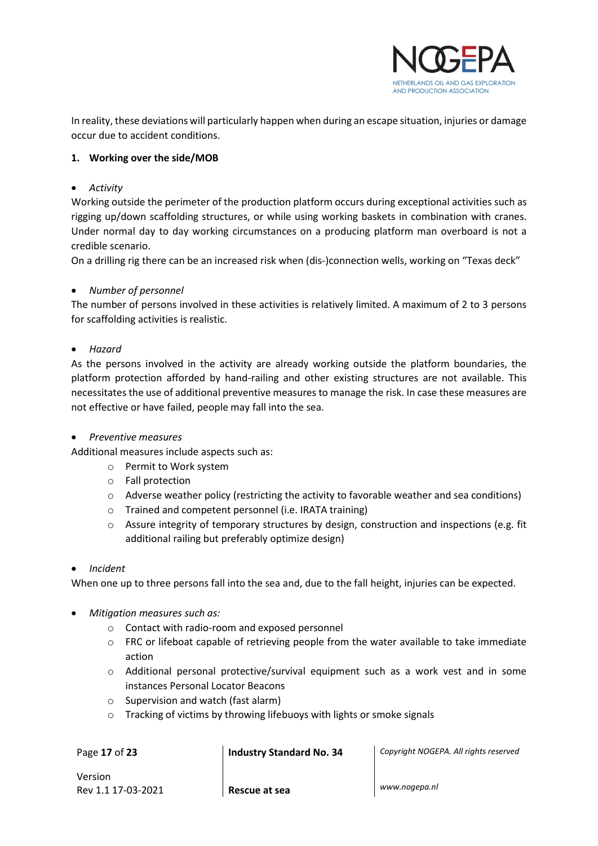

In reality, these deviations will particularly happen when during an escape situation, injuries or damage occur due to accident conditions.

#### **1. Working over the side/MOB**

#### • *Activity*

Working outside the perimeter of the production platform occurs during exceptional activities such as rigging up/down scaffolding structures, or while using working baskets in combination with cranes. Under normal day to day working circumstances on a producing platform man overboard is not a credible scenario.

On a drilling rig there can be an increased risk when (dis-)connection wells, working on "Texas deck"

#### • *Number of personnel*

The number of persons involved in these activities is relatively limited. A maximum of 2 to 3 persons for scaffolding activities is realistic.

#### • *Hazard*

As the persons involved in the activity are already working outside the platform boundaries, the platform protection afforded by hand-railing and other existing structures are not available. This necessitates the use of additional preventive measures to manage the risk. In case these measures are not effective or have failed, people may fall into the sea.

#### • *Preventive measures*

Additional measures include aspects such as:

- o Permit to Work system
- o Fall protection
- $\circ$  Adverse weather policy (restricting the activity to favorable weather and sea conditions)
- o Trained and competent personnel (i.e. IRATA training)
- o Assure integrity of temporary structures by design, construction and inspections (e.g. fit additional railing but preferably optimize design)

#### • *Incident*

When one up to three persons fall into the sea and, due to the fall height, injuries can be expected.

- *Mitigation measures such as:*
	- o Contact with radio-room and exposed personnel
	- o FRC or lifeboat capable of retrieving people from the water available to take immediate action
	- o Additional personal protective/survival equipment such as a work vest and in some instances Personal Locator Beacons
	- o Supervision and watch (fast alarm)
	- o Tracking of victims by throwing lifebuoys with lights or smoke signals

Page **17** of **23 Industry Standard No. 34** *Copyright NOGEPA. All rights reserved*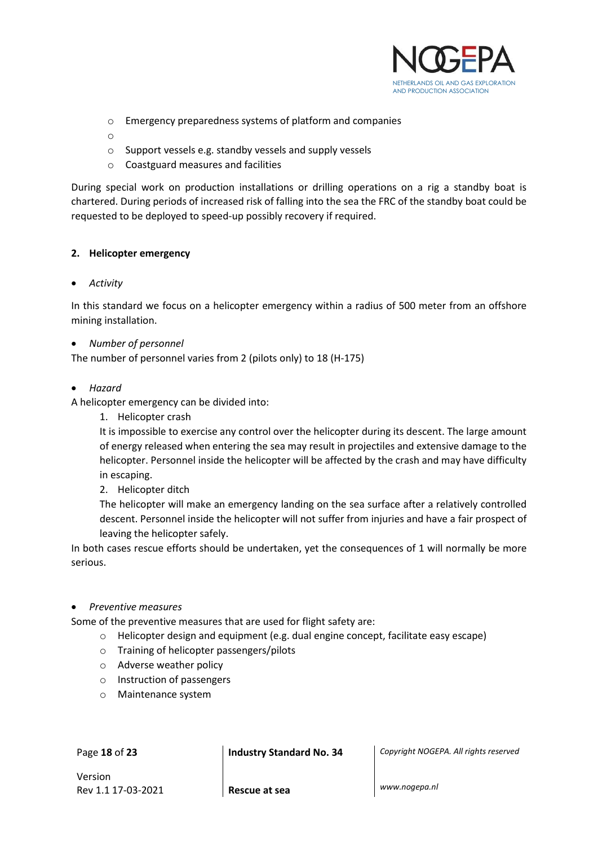

- o Emergency preparedness systems of platform and companies
- o
- o Support vessels e.g. standby vessels and supply vessels
- o Coastguard measures and facilities

During special work on production installations or drilling operations on a rig a standby boat is chartered. During periods of increased risk of falling into the sea the FRC of the standby boat could be requested to be deployed to speed-up possibly recovery if required.

#### **2. Helicopter emergency**

• *Activity*

In this standard we focus on a helicopter emergency within a radius of 500 meter from an offshore mining installation.

#### • *Number of personnel*

The number of personnel varies from 2 (pilots only) to 18 (H-175)

• *Hazard*

A helicopter emergency can be divided into:

1. Helicopter crash

It is impossible to exercise any control over the helicopter during its descent. The large amount of energy released when entering the sea may result in projectiles and extensive damage to the helicopter. Personnel inside the helicopter will be affected by the crash and may have difficulty in escaping.

2. Helicopter ditch

The helicopter will make an emergency landing on the sea surface after a relatively controlled descent. Personnel inside the helicopter will not suffer from injuries and have a fair prospect of leaving the helicopter safely.

In both cases rescue efforts should be undertaken, yet the consequences of 1 will normally be more serious.

#### • *Preventive measures*

Some of the preventive measures that are used for flight safety are:

- o Helicopter design and equipment (e.g. dual engine concept, facilitate easy escape)
- o Training of helicopter passengers/pilots
- o Adverse weather policy
- o Instruction of passengers
- o Maintenance system

Page **18** of **23 Industry Standard No. 34** *Copyright NOGEPA. All rights reserved*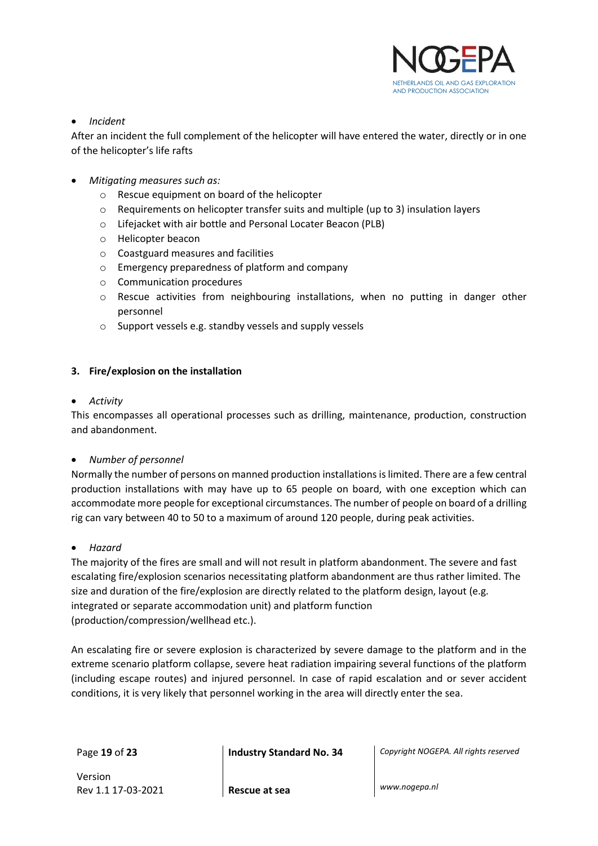

#### • *Incident*

After an incident the full complement of the helicopter will have entered the water, directly or in one of the helicopter's life rafts

- *Mitigating measures such as:*
	- o Rescue equipment on board of the helicopter
	- o Requirements on helicopter transfer suits and multiple (up to 3) insulation layers
	- o Lifejacket with air bottle and Personal Locater Beacon (PLB)
	- o Helicopter beacon
	- o Coastguard measures and facilities
	- o Emergency preparedness of platform and company
	- o Communication procedures
	- $\circ$  Rescue activities from neighbouring installations, when no putting in danger other personnel
	- o Support vessels e.g. standby vessels and supply vessels

#### **3. Fire/explosion on the installation**

#### • *Activity*

This encompasses all operational processes such as drilling, maintenance, production, construction and abandonment.

#### • *Number of personnel*

Normally the number of persons on manned production installations islimited. There are a few central production installations with may have up to 65 people on board, with one exception which can accommodate more people for exceptional circumstances. The number of people on board of a drilling rig can vary between 40 to 50 to a maximum of around 120 people, during peak activities.

#### • *Hazard*

The majority of the fires are small and will not result in platform abandonment. The severe and fast escalating fire/explosion scenarios necessitating platform abandonment are thus rather limited. The size and duration of the fire/explosion are directly related to the platform design, layout (e.g. integrated or separate accommodation unit) and platform function (production/compression/wellhead etc.).

An escalating fire or severe explosion is characterized by severe damage to the platform and in the extreme scenario platform collapse, severe heat radiation impairing several functions of the platform (including escape routes) and injured personnel. In case of rapid escalation and or sever accident conditions, it is very likely that personnel working in the area will directly enter the sea.

Page **19** of **23 Industry Standard No. 34** *Copyright NOGEPA. All rights reserved*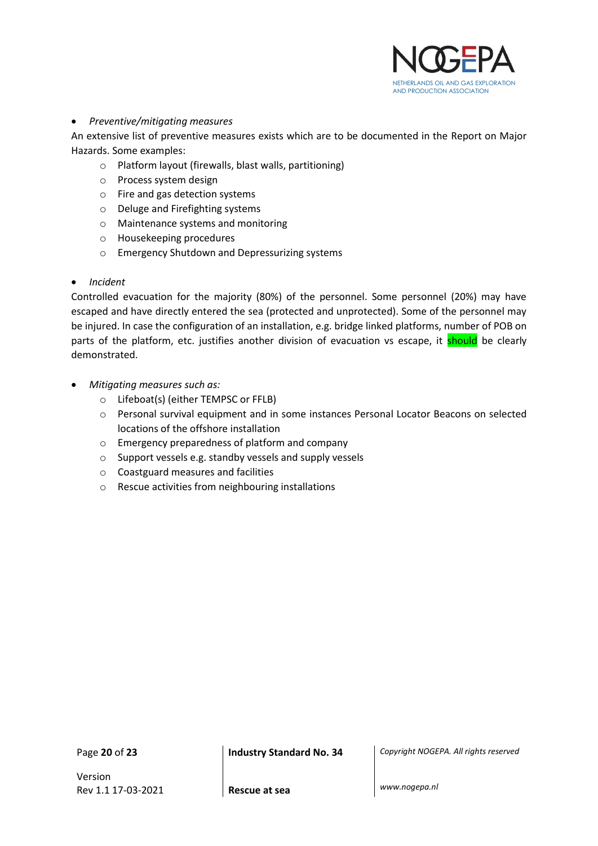

#### • *Preventive/mitigating measures*

An extensive list of preventive measures exists which are to be documented in the Report on Major Hazards. Some examples:

- o Platform layout (firewalls, blast walls, partitioning)
- o Process system design
- o Fire and gas detection systems
- o Deluge and Firefighting systems
- o Maintenance systems and monitoring
- o Housekeeping procedures
- o Emergency Shutdown and Depressurizing systems

#### • *Incident*

Controlled evacuation for the majority (80%) of the personnel. Some personnel (20%) may have escaped and have directly entered the sea (protected and unprotected). Some of the personnel may be injured. In case the configuration of an installation, e.g. bridge linked platforms, number of POB on parts of the platform, etc. justifies another division of evacuation vs escape, it should be clearly demonstrated.

- *Mitigating measures such as:*
	- o Lifeboat(s) (either TEMPSC or FFLB)
	- o Personal survival equipment and in some instances Personal Locator Beacons on selected locations of the offshore installation
	- o Emergency preparedness of platform and company
	- o Support vessels e.g. standby vessels and supply vessels
	- o Coastguard measures and facilities
	- o Rescue activities from neighbouring installations

Version Rev 1.1 17-03-2021 **Rescue at sea** *www.nogepa.nl*

Page **20** of **23 Industry Standard No. 34** *Copyright NOGEPA. All rights reserved*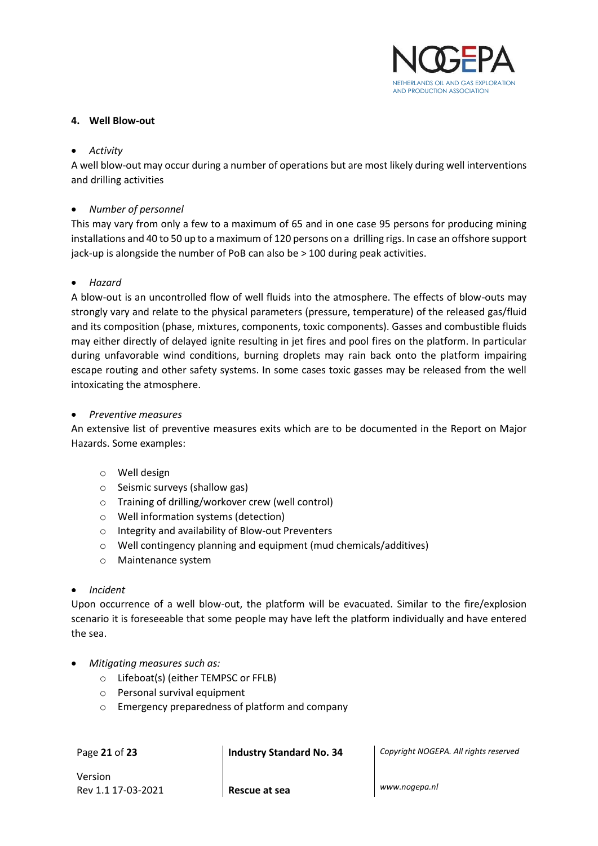

#### **4. Well Blow-out**

#### • *Activity*

A well blow-out may occur during a number of operations but are most likely during well interventions and drilling activities

#### • *Number of personnel*

This may vary from only a few to a maximum of 65 and in one case 95 persons for producing mining installations and 40 to 50 up to a maximum of 120 persons on a drilling rigs. In case an offshore support jack-up is alongside the number of PoB can also be > 100 during peak activities.

#### • *Hazard*

A blow-out is an uncontrolled flow of well fluids into the atmosphere. The effects of blow-outs may strongly vary and relate to the physical parameters (pressure, temperature) of the released gas/fluid and its composition (phase, mixtures, components, toxic components). Gasses and combustible fluids may either directly of delayed ignite resulting in jet fires and pool fires on the platform. In particular during unfavorable wind conditions, burning droplets may rain back onto the platform impairing escape routing and other safety systems. In some cases toxic gasses may be released from the well intoxicating the atmosphere.

#### • *Preventive measures*

An extensive list of preventive measures exits which are to be documented in the Report on Major Hazards. Some examples:

- o Well design
- o Seismic surveys (shallow gas)
- o Training of drilling/workover crew (well control)
- o Well information systems (detection)
- o Integrity and availability of Blow-out Preventers
- o Well contingency planning and equipment (mud chemicals/additives)
- o Maintenance system

#### • *Incident*

Upon occurrence of a well blow-out, the platform will be evacuated. Similar to the fire/explosion scenario it is foreseeable that some people may have left the platform individually and have entered the sea.

- *Mitigating measures such as:*
	- o Lifeboat(s) (either TEMPSC or FFLB)
	- o Personal survival equipment
	- o Emergency preparedness of platform and company

Page **21** of **23 Industry Standard No. 34** *Copyright NOGEPA. All rights reserved*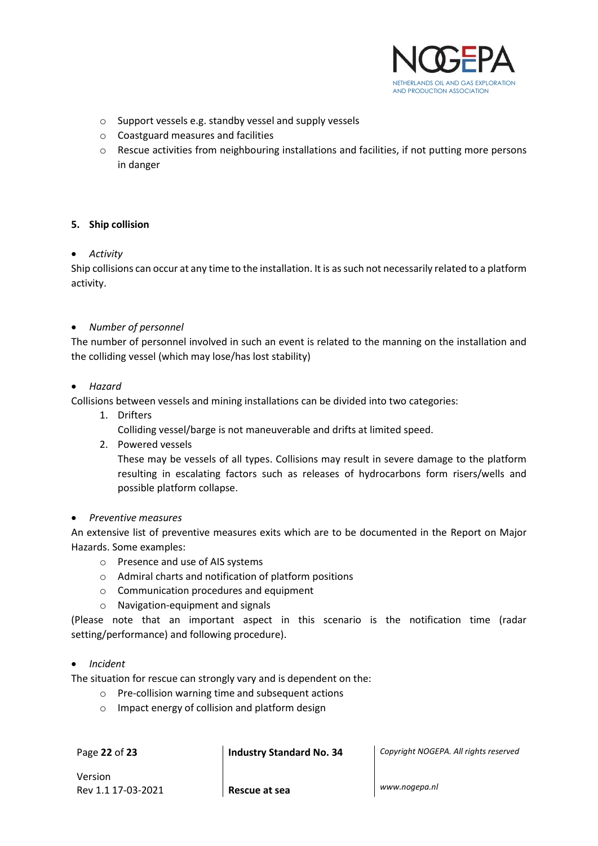

- o Support vessels e.g. standby vessel and supply vessels
- o Coastguard measures and facilities
- o Rescue activities from neighbouring installations and facilities, if not putting more persons in danger

#### **5. Ship collision**

#### • *Activity*

Ship collisions can occur at any time to the installation. It is as such not necessarily related to a platform activity.

#### • *Number of personnel*

The number of personnel involved in such an event is related to the manning on the installation and the colliding vessel (which may lose/has lost stability)

#### • *Hazard*

Collisions between vessels and mining installations can be divided into two categories:

1. Drifters

Colliding vessel/barge is not maneuverable and drifts at limited speed.

2. Powered vessels

These may be vessels of all types. Collisions may result in severe damage to the platform resulting in escalating factors such as releases of hydrocarbons form risers/wells and possible platform collapse.

#### • *Preventive measures*

An extensive list of preventive measures exits which are to be documented in the Report on Major Hazards. Some examples:

- o Presence and use of AIS systems
- o Admiral charts and notification of platform positions
- o Communication procedures and equipment
- o Navigation-equipment and signals

(Please note that an important aspect in this scenario is the notification time (radar setting/performance) and following procedure).

#### • *Incident*

The situation for rescue can strongly vary and is dependent on the:

- o Pre-collision warning time and subsequent actions
- o Impact energy of collision and platform design

Page **22** of **23 Industry Standard No. 34** *Copyright NOGEPA. All rights reserved*